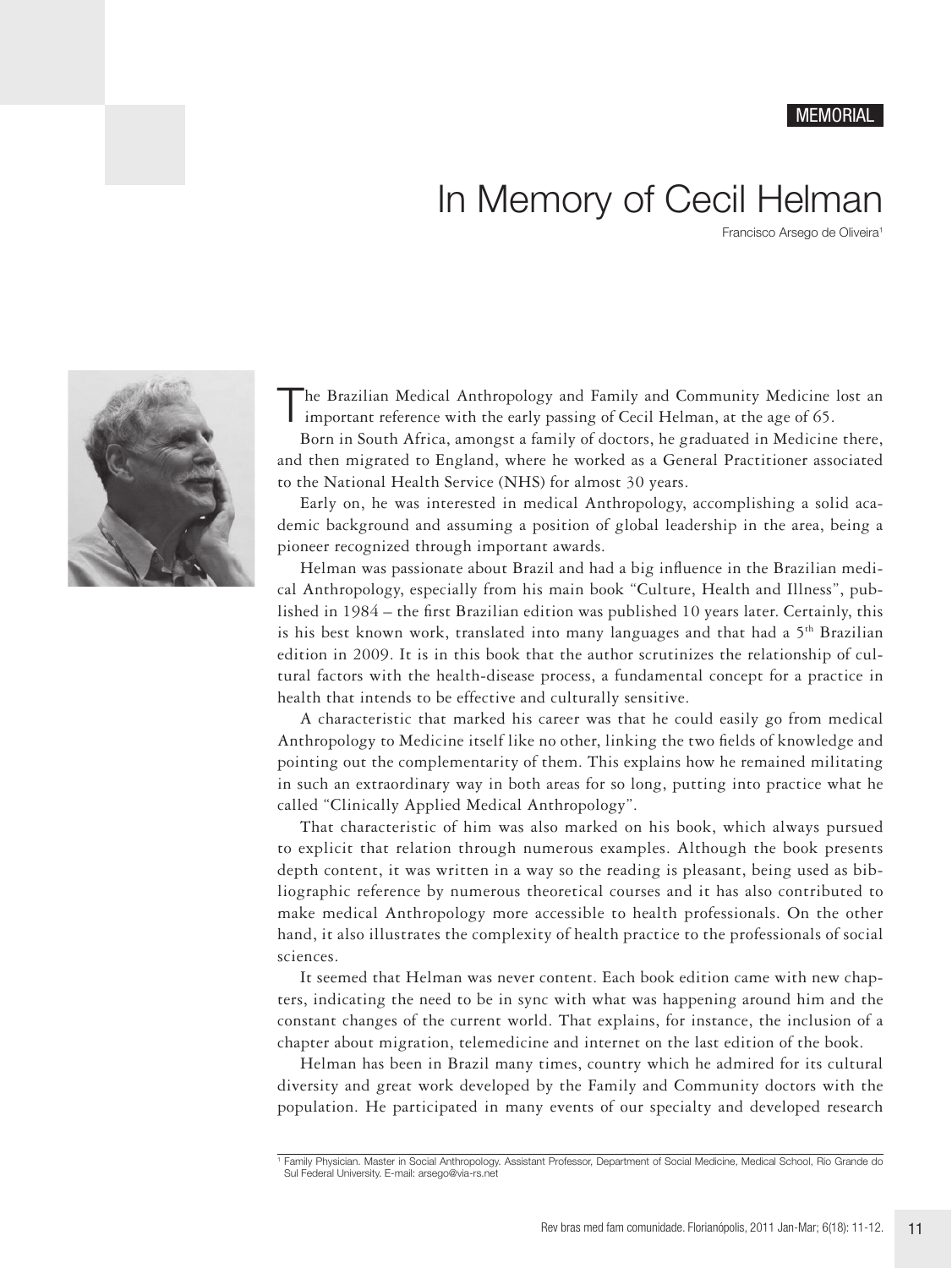## MEMORIAL

## In Memory of Cecil Helman

Francisco Arsego de Oliveira1



The Brazilian Medical Anthropology and Family and Community Medicine lost an important reference with the early passing of Cecil Helman, at the age of 65.

Born in South Africa, amongst a family of doctors, he graduated in Medicine there, and then migrated to England, where he worked as a General Practitioner associated to the National Health Service (NHS) for almost 30 years.

Early on, he was interested in medical Anthropology, accomplishing a solid academic background and assuming a position of global leadership in the area, being a pioneer recognized through important awards.

Helman was passionate about Brazil and had a big influence in the Brazilian medical Anthropology, especially from his main book "Culture, Health and Illness", published in 1984 – the first Brazilian edition was published 10 years later. Certainly, this is his best known work, translated into many languages and that had a  $5<sup>th</sup>$  Brazilian edition in 2009. It is in this book that the author scrutinizes the relationship of cultural factors with the health-disease process, a fundamental concept for a practice in health that intends to be effective and culturally sensitive.

A characteristic that marked his career was that he could easily go from medical Anthropology to Medicine itself like no other, linking the two fields of knowledge and pointing out the complementarity of them. This explains how he remained militating in such an extraordinary way in both areas for so long, putting into practice what he called "Clinically Applied Medical Anthropology".

That characteristic of him was also marked on his book, which always pursued to explicit that relation through numerous examples. Although the book presents depth content, it was written in a way so the reading is pleasant, being used as bibliographic reference by numerous theoretical courses and it has also contributed to make medical Anthropology more accessible to health professionals. On the other hand, it also illustrates the complexity of health practice to the professionals of social sciences.

It seemed that Helman was never content. Each book edition came with new chapters, indicating the need to be in sync with what was happening around him and the constant changes of the current world. That explains, for instance, the inclusion of a chapter about migration, telemedicine and internet on the last edition of the book.

Helman has been in Brazil many times, country which he admired for its cultural diversity and great work developed by the Family and Community doctors with the population. He participated in many events of our specialty and developed research

<sup>1</sup> Family Physician. Master in Social Anthropology. Assistant Professor, Department of Social Medicine, Medical School, Rio Grande do Sul Federal University. E-mail: arsego@via-rs.net